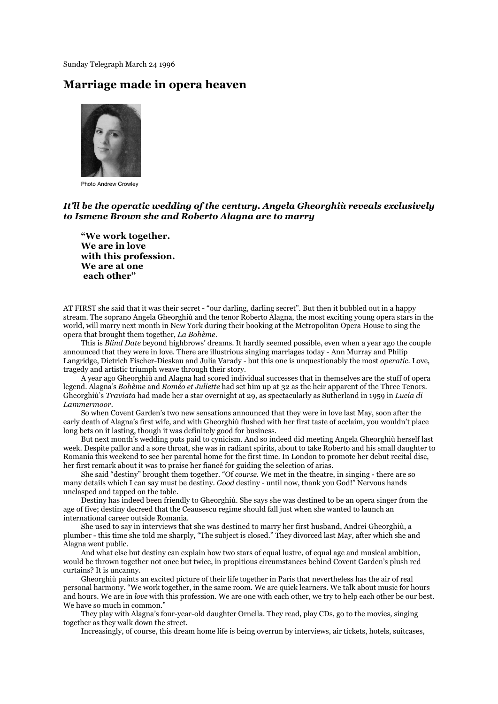Sunday Telegraph March 24 1996

## **Marriage made in opera heaven**



Photo Andrew Crowley

## *It'll be the operatic wedding of the century. Angela Gheorghiù reveals exclusively to Ismene Brown she and Roberto Alagna are to marry*

**"We work together. We are in love with this profession. We are at one each other"**

AT FIRST she said that it was their secret - "our darling, darling secret". But then it bubbled out in a happy stream. The soprano Angela Gheorghiù and the tenor Roberto Alagna, the most exciting young opera stars in the world, will marry next month in New York during their booking at the Metropolitan Opera House to sing the opera that brought them together, *La Bohème.*

This is *Blind Date* beyond highbrows' dreams. It hardly seemed possible, even when a year ago the couple announced that they were in love. There are illustrious singing marriages today - Ann Murray and Philip Langridge, Dietrich Fischer-Dieskau and Julia Varady - but this one is unquestionably the most *operatic.* Love, tragedy and artistic triumph weave through their story.

A year ago Gheorghiù and Alagna had scored individual successes that in themselves are the stuff of opera legend. Alagna's *Bohème* and *Roméo et Juliette* had set him up at 32 as the heir apparent of the Three Tenors. Gheorghiù's *Traviata* had made her a star overnight at 29, as spectacularly as Sutherland in 1959 in *Lucia di Lammermoor.*

So when Covent Garden's two new sensations announced that they were in love last May, soon after the early death of Alagna's first wife, and with Gheorghiù flushed with her first taste of acclaim, you wouldn't place long bets on it lasting, though it was definitely good for business.

But next month's wedding puts paid to cynicism. And so indeed did meeting Angela Gheorghiù herself last week. Despite pallor and a sore throat, she was in radiant spirits, about to take Roberto and his small daughter to Romania this weekend to see her parental home for the first time. In London to promote her debut recital disc, her first remark about it was to praise her fiancé for guiding the selection of arias.

She said "destiny" brought them together. "Of *course.* We met in the theatre, in singing - there are so many details which I can say must be destiny. *Good* destiny - until now, thank you God!" Nervous hands unclasped and tapped on the table.

Destiny has indeed been friendly to Gheorghiù. She says she was destined to be an opera singer from the age of five; destiny decreed that the Ceausescu regime should fall just when she wanted to launch an international career outside Romania.

She used to say in interviews that she was destined to marry her first husband, Andrei Gheorghiù, a plumber - this time she told me sharply, "The subject is closed." They divorced last May, after which she and Alagna went public.

And what else but destiny can explain how two stars of equal lustre, of equal age and musical ambition, would be thrown together not once but twice, in propitious circumstances behind Covent Garden's plush red curtains? It is uncanny.

Gheorghiù paints an excited picture of their life together in Paris that nevertheless has the air of real personal harmony. "We work together, in the same room. We are quick learners. We talk about music for hours and hours. We are in *love* with this profession. We are one with each other, we try to help each other be our best. We have so much in common."

They play with Alagna's four-year-old daughter Ornella. They read, play CDs, go to the movies, singing together as they walk down the street.

Increasingly, of course, this dream home life is being overrun by interviews, air tickets, hotels, suitcases,